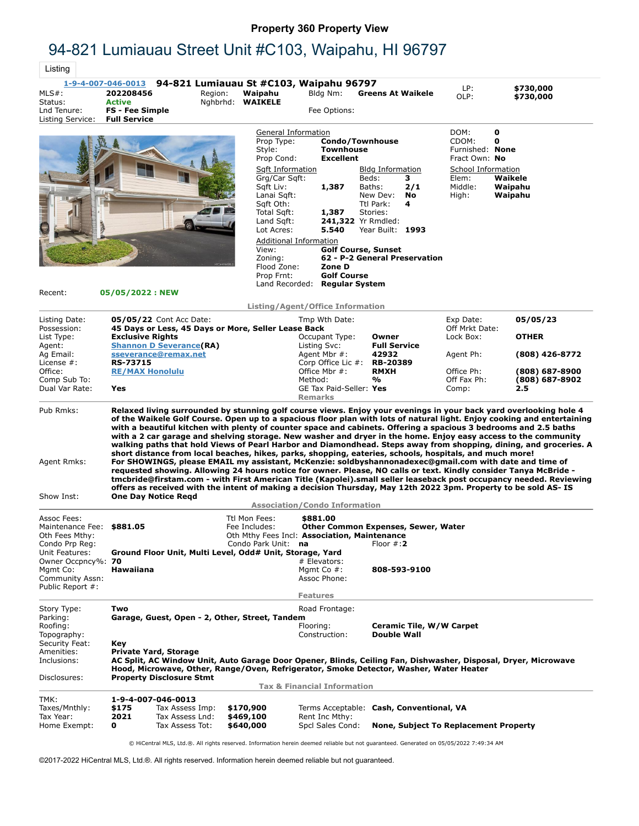## **Property 360 Property View**

## 94-821 Lumiauau Street Unit #C103, Waipahu, HI 96797

 $\overline{\phantom{a}}$ Lietin

| Listing                                                                                        |                                                                             |                                                                                |                                                                                                       |                                                                  |                                                                                                                                                                                                                                                                                                                                                                                                                                                         |                                                   |                                                                                                                                                                                                                                                                                                                                                                                                                                                                                                                                                                                                                                                                                                                               |
|------------------------------------------------------------------------------------------------|-----------------------------------------------------------------------------|--------------------------------------------------------------------------------|-------------------------------------------------------------------------------------------------------|------------------------------------------------------------------|---------------------------------------------------------------------------------------------------------------------------------------------------------------------------------------------------------------------------------------------------------------------------------------------------------------------------------------------------------------------------------------------------------------------------------------------------------|---------------------------------------------------|-------------------------------------------------------------------------------------------------------------------------------------------------------------------------------------------------------------------------------------------------------------------------------------------------------------------------------------------------------------------------------------------------------------------------------------------------------------------------------------------------------------------------------------------------------------------------------------------------------------------------------------------------------------------------------------------------------------------------------|
| <u>1-9-4-007-046-0013</u><br>$MLS#$ :<br>Status:<br>Lnd Tenure:<br>Listing Service:            | 202208456<br><b>Active</b><br><b>FS - Fee Simple</b><br><b>Full Service</b> | Region:                                                                        | 94-821 Lumiauau St #C103, Waipahu 96797<br>Waipahu<br>Nghbrhd: WAIKELE                                | Bldg Nm:<br>Fee Options:                                         | <b>Greens At Waikele</b>                                                                                                                                                                                                                                                                                                                                                                                                                                | LP:<br>OLP:                                       | \$730,000<br>\$730,000                                                                                                                                                                                                                                                                                                                                                                                                                                                                                                                                                                                                                                                                                                        |
|                                                                                                |                                                                             |                                                                                | Prop Type:<br>Style:<br>Prop Cond:                                                                    | General Information<br><b>Townhouse</b><br><b>Excellent</b>      | <b>Condo/Townhouse</b>                                                                                                                                                                                                                                                                                                                                                                                                                                  | DOM:<br>CDOM:<br>Furnished: None<br>Fract Own: No | 0<br>0                                                                                                                                                                                                                                                                                                                                                                                                                                                                                                                                                                                                                                                                                                                        |
|                                                                                                |                                                                             |                                                                                | Sqft Information<br>Grg/Car Sgft:<br>Sqft Liv:<br>Lanai Sgft:<br>Sqft Oth:                            | 1,387                                                            | <b>Bldg Information</b><br>Beds:<br>3<br>Baths:<br>2/1<br>New Dev:<br>No<br>Ttl Park:<br>4                                                                                                                                                                                                                                                                                                                                                              | School Information<br>Elem:<br>Middle:<br>High:   | Waikele<br>Waipahu<br>Waipahu                                                                                                                                                                                                                                                                                                                                                                                                                                                                                                                                                                                                                                                                                                 |
|                                                                                                |                                                                             |                                                                                | Total Sqft:<br>Land Sqft:<br>Lot Acres:                                                               | 1,387<br>5.540<br>Additional Information                         | Stories:<br>241,322 Yr Rmdled:<br>Year Built: 1993                                                                                                                                                                                                                                                                                                                                                                                                      |                                                   |                                                                                                                                                                                                                                                                                                                                                                                                                                                                                                                                                                                                                                                                                                                               |
| Recent:                                                                                        | 05/05/2022 : NEW                                                            |                                                                                | View:<br>Zoning:<br>Flood Zone:<br>Prop Frnt:                                                         | Zone D<br><b>Golf Course</b><br>Land Recorded: Regular System    | <b>Golf Course, Sunset</b><br>62 - P-2 General Preservation                                                                                                                                                                                                                                                                                                                                                                                             |                                                   |                                                                                                                                                                                                                                                                                                                                                                                                                                                                                                                                                                                                                                                                                                                               |
|                                                                                                |                                                                             |                                                                                |                                                                                                       | Listing/Agent/Office Information                                 |                                                                                                                                                                                                                                                                                                                                                                                                                                                         |                                                   |                                                                                                                                                                                                                                                                                                                                                                                                                                                                                                                                                                                                                                                                                                                               |
| Listing Date:<br>Possession:                                                                   |                                                                             | 05/05/22 Cont Acc Date:<br>45 Days or Less, 45 Days or More, Seller Lease Back |                                                                                                       | Tmp Wth Date:                                                    |                                                                                                                                                                                                                                                                                                                                                                                                                                                         | Exp Date:<br>Off Mrkt Date:                       | 05/05/23                                                                                                                                                                                                                                                                                                                                                                                                                                                                                                                                                                                                                                                                                                                      |
| List Type:<br>Agent:                                                                           | <b>Exclusive Rights</b>                                                     | <b>Shannon D Severance(RA)</b>                                                 |                                                                                                       | Occupant Type:<br>Listing Svc:                                   | Owner<br><b>Full Service</b>                                                                                                                                                                                                                                                                                                                                                                                                                            | Lock Box:                                         | <b>OTHER</b>                                                                                                                                                                                                                                                                                                                                                                                                                                                                                                                                                                                                                                                                                                                  |
| Ag Email:<br>License $#$ :                                                                     | <b>RS-73715</b>                                                             | sseverance@remax.net                                                           |                                                                                                       | Agent Mbr #:<br>Corp Office Lic #:                               | 42932<br><b>RB-20389</b>                                                                                                                                                                                                                                                                                                                                                                                                                                | Agent Ph:                                         | (808) 426-8772                                                                                                                                                                                                                                                                                                                                                                                                                                                                                                                                                                                                                                                                                                                |
| Office:<br>Comp Sub To:                                                                        | <b>RE/MAX Honolulu</b>                                                      |                                                                                |                                                                                                       | Office Mbr #:<br>Method:                                         | <b>RMXH</b><br>%                                                                                                                                                                                                                                                                                                                                                                                                                                        | Office Ph:<br>Off Fax Ph:                         | (808) 687-8900<br>(808) 687-8902                                                                                                                                                                                                                                                                                                                                                                                                                                                                                                                                                                                                                                                                                              |
| Dual Var Rate:                                                                                 | Yes                                                                         |                                                                                |                                                                                                       | GE Tax Paid-Seller: Yes<br><b>Remarks</b>                        |                                                                                                                                                                                                                                                                                                                                                                                                                                                         | Comp:                                             | 2.5                                                                                                                                                                                                                                                                                                                                                                                                                                                                                                                                                                                                                                                                                                                           |
| Pub Rmks:<br>Agent Rmks:<br>Show Inst:                                                         |                                                                             | <b>One Day Notice Regd</b>                                                     |                                                                                                       |                                                                  | short distance from local beaches, hikes, parks, shopping, eateries, schools, hospitals, and much more!<br>For SHOWINGS, please EMAIL my assistant, McKenzie: soldbyshannonadexec@gmail.com with date and time of<br>requested showing. Allowing 24 hours notice for owner. Please, NO calls or text. Kindly consider Tanya McBride -<br>offers as received with the intent of making a decision Thursday, May 12th 2022 3pm. Property to be sold AS-IS |                                                   | Relaxed living surrounded by stunning golf course views. Enjoy your evenings in your back yard overlooking hole 4<br>of the Waikele Golf Course. Open up to a spacious floor plan with lots of natural light. Enjoy cooking and entertaining<br>with a beautiful kitchen with plenty of counter space and cabinets. Offering a spacious 3 bedrooms and 2.5 baths<br>with a 2 car garage and shelving storage. New washer and dryer in the home. Enjoy easy access to the community<br>walking paths that hold Views of Pearl Harbor and Diamondhead. Steps away from shopping, dining, and groceries. A<br>tmcbride@firstam.com - with First American Title (Kapolei).small seller leaseback post occupancy needed. Reviewing |
|                                                                                                |                                                                             |                                                                                |                                                                                                       | <b>Association/Condo Information</b>                             |                                                                                                                                                                                                                                                                                                                                                                                                                                                         |                                                   |                                                                                                                                                                                                                                                                                                                                                                                                                                                                                                                                                                                                                                                                                                                               |
| Assoc Fees:<br>Maintenance Fee: \$881.05<br>Oth Fees Mthy:<br>Condo Prp Reg:<br>Unit Features: |                                                                             | Ground Floor Unit, Multi Level, Odd# Unit, Storage, Yard                       | Ttl Mon Fees:<br>Fee Includes:<br>Oth Mthy Fees Incl: Association, Maintenance<br>Condo Park Unit: na | \$881.00                                                         | Other Common Expenses, Sewer, Water<br>Floor $\#$ : 2                                                                                                                                                                                                                                                                                                                                                                                                   |                                                   |                                                                                                                                                                                                                                                                                                                                                                                                                                                                                                                                                                                                                                                                                                                               |
| Owner Occpncy%: 70<br>Mgmt Co:<br>Community Assn:<br>Public Report #:                          | Hawaiiana                                                                   |                                                                                |                                                                                                       | # Elevators:<br>Mgmt Co $#$ :<br>Assoc Phone:<br><b>Features</b> | 808-593-9100                                                                                                                                                                                                                                                                                                                                                                                                                                            |                                                   |                                                                                                                                                                                                                                                                                                                                                                                                                                                                                                                                                                                                                                                                                                                               |
| Story Type:<br>Parking:<br>Roofing:<br>Topography:                                             | Two                                                                         | Garage, Guest, Open - 2, Other, Street, Tandem                                 |                                                                                                       | Road Frontage:<br>Flooring:<br>Construction:                     | Ceramic Tile, W/W Carpet<br><b>Double Wall</b>                                                                                                                                                                                                                                                                                                                                                                                                          |                                                   |                                                                                                                                                                                                                                                                                                                                                                                                                                                                                                                                                                                                                                                                                                                               |
| Security Feat:<br>Amenities:<br>Inclusions:                                                    | Key                                                                         | <b>Private Yard, Storage</b>                                                   |                                                                                                       |                                                                  | Hood, Microwave, Other, Range/Oven, Refrigerator, Smoke Detector, Washer, Water Heater                                                                                                                                                                                                                                                                                                                                                                  |                                                   | AC Split, AC Window Unit, Auto Garage Door Opener, Blinds, Ceiling Fan, Dishwasher, Disposal, Dryer, Microwave                                                                                                                                                                                                                                                                                                                                                                                                                                                                                                                                                                                                                |
| Disclosures:                                                                                   |                                                                             | <b>Property Disclosure Stmt</b>                                                |                                                                                                       | <b>Tax &amp; Financial Information</b>                           |                                                                                                                                                                                                                                                                                                                                                                                                                                                         |                                                   |                                                                                                                                                                                                                                                                                                                                                                                                                                                                                                                                                                                                                                                                                                                               |
| TMK:<br>Taxes/Mnthly:                                                                          | \$175                                                                       | 1-9-4-007-046-0013<br>Tax Assess Imp:                                          | \$170,900                                                                                             |                                                                  | Terms Acceptable: Cash, Conventional, VA                                                                                                                                                                                                                                                                                                                                                                                                                |                                                   |                                                                                                                                                                                                                                                                                                                                                                                                                                                                                                                                                                                                                                                                                                                               |
| Tax Year:<br>Home Exempt:                                                                      | 2021<br>0                                                                   | Tax Assess Lnd:<br>Tax Assess Tot:                                             | \$469,100<br>\$640,000                                                                                | Rent Inc Mthy:<br>Spcl Sales Cond:                               | <b>None, Subject To Replacement Property</b>                                                                                                                                                                                                                                                                                                                                                                                                            |                                                   |                                                                                                                                                                                                                                                                                                                                                                                                                                                                                                                                                                                                                                                                                                                               |

© HiCentral MLS, Ltd.®. All rights reserved. Information herein deemed reliable but not guaranteed. Generated on 05/05/2022 7:49:34 AM

©2017-2022 HiCentral MLS, Ltd.®. All rights reserved. Information herein deemed reliable but not guaranteed.